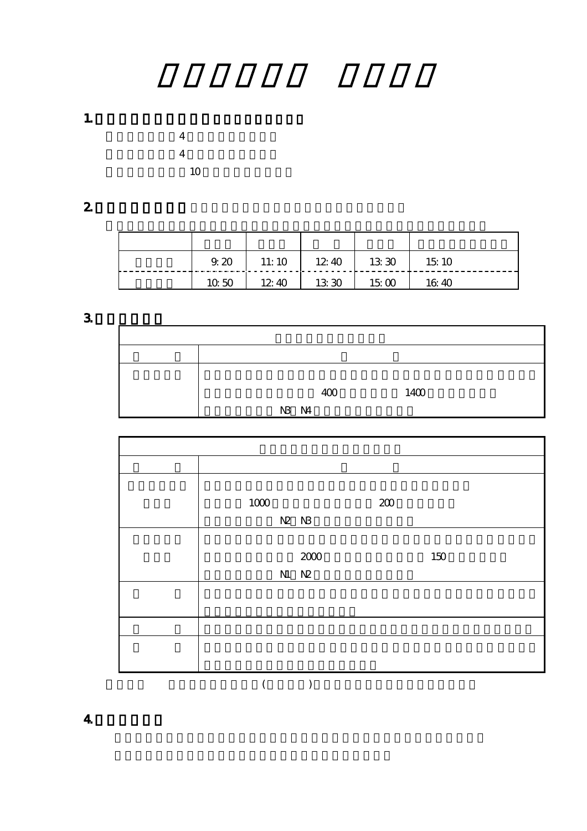1.  $\blacksquare$ 

 $4$  $4$  $10$ 

2. extending  $\sim$ 

|       | $9.20$ 11:10 12:40 |       | 1330 | 1510  |
|-------|--------------------|-------|------|-------|
| 10,50 | 12.40              | 13 30 | 1500 | 16.40 |

3.カリキュラム

|  |       | 400 | 1400 |
|--|-------|-----|------|
|  |       |     |      |
|  | N3 N4 |     |      |

| $1000$ |       |                                                                   | 200 |     |
|--------|-------|-------------------------------------------------------------------|-----|-----|
|        | N2 N3 |                                                                   |     |     |
|        |       |                                                                   |     |     |
|        |       |                                                                   |     | 150 |
|        |       | $\begin{array}{c} 200 \\ \textrm{N} \quad \textrm{N} \end{array}$ |     |     |
|        |       |                                                                   |     |     |
|        |       |                                                                   |     |     |
|        |       |                                                                   |     |     |
|        |       |                                                                   |     |     |
|        |       |                                                                   |     |     |
|        |       |                                                                   |     |     |

4.授業の進め方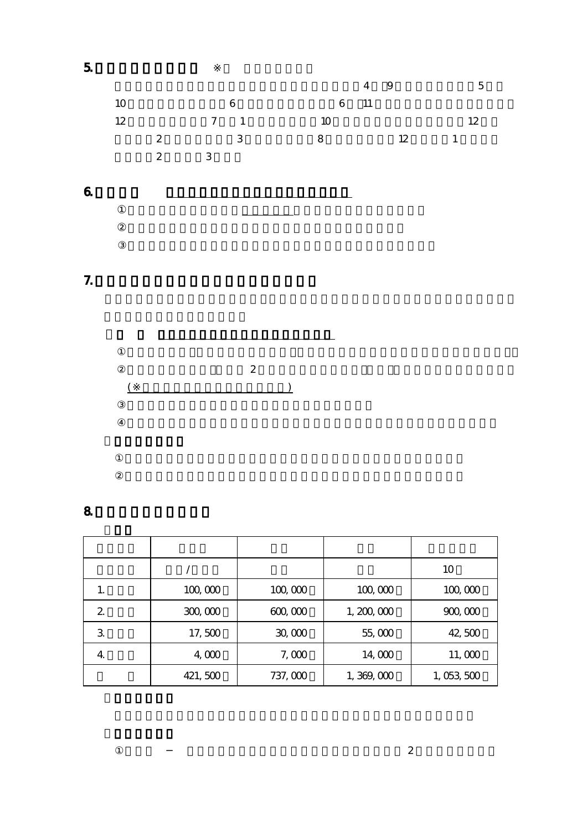

8.学費ならびに納入方法

|                  |         |         |           | 10        |
|------------------|---------|---------|-----------|-----------|
| 1.               | 100,000 | 100,000 | 100,000   | 100,000   |
| $\boldsymbol{2}$ | 300,000 | 600,000 | 1,200,000 | 900,000   |
| 3                | 17,500  | 30,000  | 55,000    | 42,500    |
| 4                | 4,000   | 7,000   | 14,000    | 11,000    |
|                  | 421,500 | 737,000 | 1,369,000 | 1,053,500 |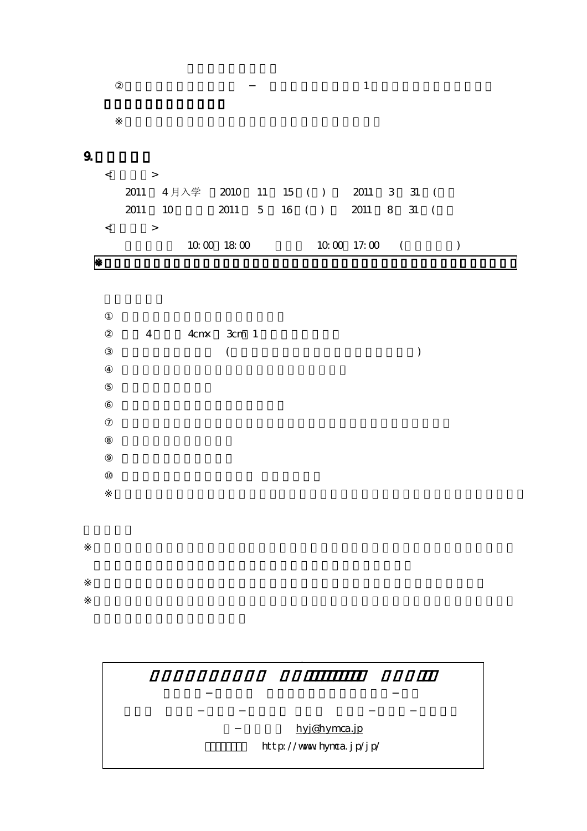| $\rightarrow$     |                                      |          |  |  |                |  |  |
|-------------------|--------------------------------------|----------|--|--|----------------|--|--|
|                   | 2011 4月入学 2010 11 15 ( ) 2011 3 31 ( |          |  |  |                |  |  |
|                   | 2011 10 2011 5 16 () 2011 8 31 (     |          |  |  |                |  |  |
| $\longrightarrow$ |                                      |          |  |  |                |  |  |
|                   |                                      | 10001800 |  |  | $10001700$ ( ) |  |  |

 $\mathbf 1$ 

|  | $4 \qquad 4 \text{cm} \qquad 3 \text{cm} \qquad 1$ |  |
|--|----------------------------------------------------|--|
|  |                                                    |  |

hyj@hymca.jp http://www.hymca.jp/jp/

広島YMCA専門学校 **(** 言語コミュニケーション科 日本語コース

9.出願手続き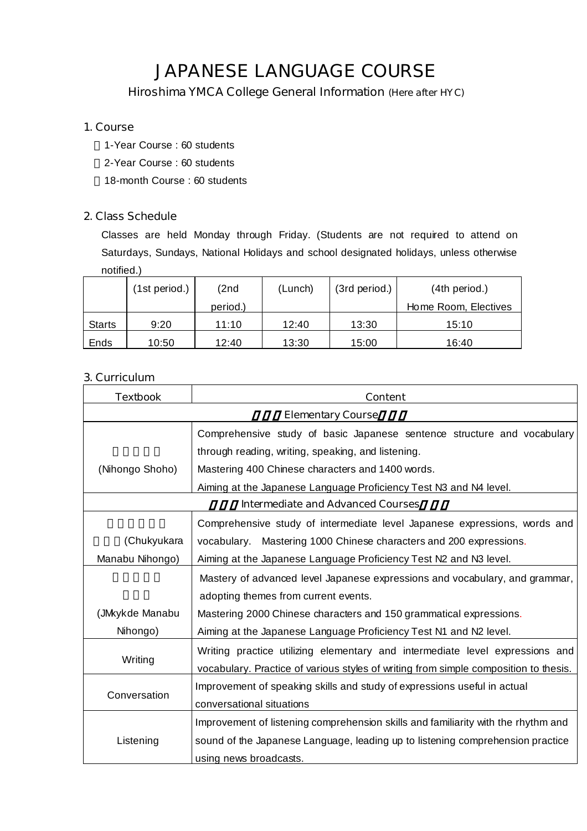# **JAPANESE LANGUAGE COURSE**

*Hiroshima YMCA College General Information (Here after HYC)*

## **1. Course**

1-Year Course : 60 students

2-Year Course : 60 students

18-month Course : 60 students

## **2. Class Schedule**

Classes are held Monday through Friday. (Students are not required to attend on Saturdays, Sundays, National Holidays and school designated holidays, unless otherwise notified.)

|               | (1st period.) | (2nd     | (Lunch) | (3rd period.) | (4th period.)        |
|---------------|---------------|----------|---------|---------------|----------------------|
|               |               | period.) |         |               | Home Room, Electives |
| <b>Starts</b> | 9:20          | 11:10    | 12:40   | 13:30         | 15:10                |
| Ends          | 10:50         | 12:40    | 13:30   | 15:00         | 16:40                |

## **3. Curriculum**

| <b>Textbook</b> | <b>Content</b>                                                                       |  |  |  |  |  |
|-----------------|--------------------------------------------------------------------------------------|--|--|--|--|--|
|                 | <b>Elementary Course</b>                                                             |  |  |  |  |  |
|                 | Comprehensive study of basic Japanese sentence structure and vocabulary              |  |  |  |  |  |
|                 | through reading, writing, speaking, and listening.                                   |  |  |  |  |  |
| (Nihongo Shoho) | Mastering 400 Chinese characters and 1400 words.                                     |  |  |  |  |  |
|                 | Aiming at the Japanese Language Proficiency Test N3 and N4 level.                    |  |  |  |  |  |
|                 | <b>Intermediate and Advanced Courses</b>                                             |  |  |  |  |  |
|                 | Comprehensive study of intermediate level Japanese expressions, words and            |  |  |  |  |  |
| (Chukyukara     | vocabulary. Mastering 1000 Chinese characters and 200 expressions.                   |  |  |  |  |  |
| Manabu Nihongo) | Aiming at the Japanese Language Proficiency Test N2 and N3 level.                    |  |  |  |  |  |
|                 | Mastery of advanced level Japanese expressions and vocabulary, and grammar,          |  |  |  |  |  |
|                 | adopting themes from current events.                                                 |  |  |  |  |  |
| (JMkykde Manabu | Mastering 2000 Chinese characters and 150 grammatical expressions.                   |  |  |  |  |  |
| Nihongo)        | Aiming at the Japanese Language Proficiency Test N1 and N2 level.                    |  |  |  |  |  |
|                 | Writing practice utilizing elementary and intermediate level expressions and         |  |  |  |  |  |
| Writing         | vocabulary. Practice of various styles of writing from simple composition to thesis. |  |  |  |  |  |
|                 | Improvement of speaking skills and study of expressions useful in actual             |  |  |  |  |  |
| Conversation    | conversational situations                                                            |  |  |  |  |  |
|                 | Improvement of listening comprehension skills and familiarity with the rhythm and    |  |  |  |  |  |
| Listening       | sound of the Japanese Language, leading up to listening comprehension practice       |  |  |  |  |  |
|                 | using news broadcasts.                                                               |  |  |  |  |  |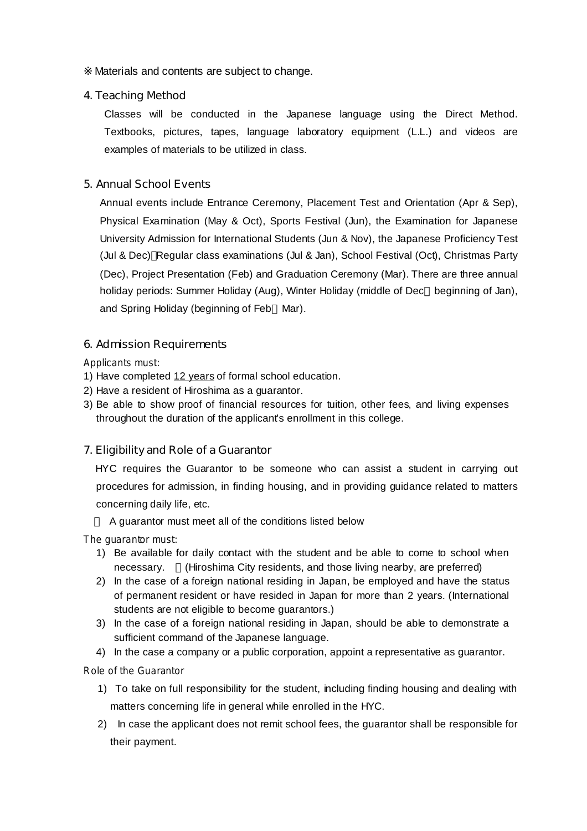Materials and contents are subject to change.

## **4. Teaching Method**

Classes will be conducted in the Japanese language using the Direct Method. Textbooks, pictures, tapes, language laboratory equipment (L.L.) and videos are examples of materials to be utilized in class.

## **5. Annual School Events**

Annual events include Entrance Ceremony, Placement Test and Orientation (Apr & Sep), Physical Examination (May & Oct), Sports Festival (Jun), the Examination for Japanese University Admission for International Students (Jun & Nov), the Japanese Proficiency Test (Jul & Dec) Regular class examinations (Jul & Jan), School Festival (Oct), Christmas Party (Dec), Project Presentation (Feb) and Graduation Ceremony (Mar). There are three annual holiday periods: Summer Holiday (Aug), Winter Holiday (middle of Dec beginning of Jan), and Spring Holiday (beginning of Feb Mar).

## **6. Admission Requirements**

*Applicants must:*

- 1) Have completed 12 years of formal school education.
- 2) Have a resident of Hiroshima as a guarantor.
- 3) Be able to show proof of financial resources for tuition, other fees, and living expenses throughout the duration of the applicant's enrollment in this college.

## **7. Eligibility and Role of a Guarantor**

HYC requires the Guarantor to be someone who can assist a student in carrying out procedures for admission, in finding housing, and in providing guidance related to matters concerning daily life, etc.

A guarantor must meet all of the conditions listed below

*The guarantor must:*

- 1) Be available for daily contact with the student and be able to come to school when necessary. (Hiroshima City residents, and those living nearby, are preferred)
- 2) In the case of a foreign national residing in Japan, be employed and have the status of permanent resident or have resided in Japan for more than 2 years. (International students are not eligible to become guarantors.)
- 3) In the case of a foreign national residing in Japan, should be able to demonstrate a sufficient command of the Japanese language.
- 4) In the case a company or a public corporation, appoint a representative as guarantor.

*Role of the Guarantor*

- 1) To take on full responsibility for the student, including finding housing and dealing with matters concerning life in general while enrolled in the HYC.
- 2) In case the applicant does not remit school fees, the guarantor shall be responsible for their payment.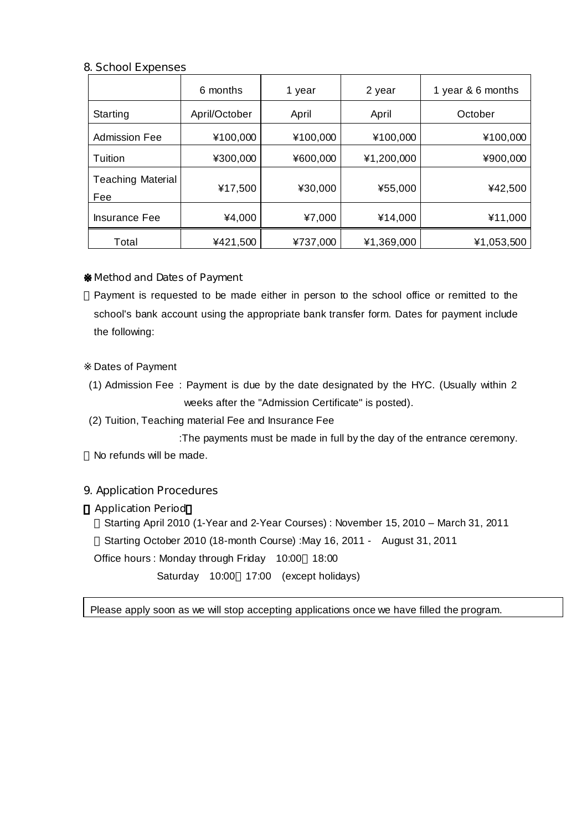## **8. School Expenses**

|                                 | 6 months      | 1 year   | 2 year     | 1 year & 6 months |
|---------------------------------|---------------|----------|------------|-------------------|
| Starting                        | April/October | April    | April      | October           |
| <b>Admission Fee</b>            | ¥100,000      | ¥100,000 | ¥100,000   | ¥100,000          |
| Tuition                         | ¥300,000      | ¥600,000 | ¥1,200,000 | ¥900,000          |
| <b>Teaching Material</b><br>Fee | ¥17,500       | ¥30,000  | ¥55,000    | ¥42,500           |
| <b>Insurance Fee</b>            | ¥4,000        | ¥7,000   | ¥14,000    | ¥11,000           |
| Total                           | ¥421,500      | ¥737,000 | ¥1,369,000 | ¥1,053,500        |

### ※**Method and Dates of Payment**

Payment is requested to be made either in person to the school office or remitted to the school's bank account using the appropriate bank transfer form. Dates for payment include the following:

Dates of Payment

- (1) Admission Fee : Payment is due by the date designated by the HYC. (Usually within 2 weeks after the "Admission Certificate" is posted).
- (2) Tuition, Teaching material Fee and Insurance Fee

:The payments must be made in full by the day of the entrance ceremony. No refunds will be made.

## **9. Application Procedures**

### **Application Period**

Starting April 2010 (1-Year and 2-Year Courses): November 15, 2010 - March 31, 2011 Starting October 2010 (18-month Course) :May 16, 2011 - August 31, 2011 Office hours : Monday through Friday 10:00 18:00 Saturday 10:00 17:00 (except holidays)

Please apply soon as we will stop accepting applications once we have filled the program.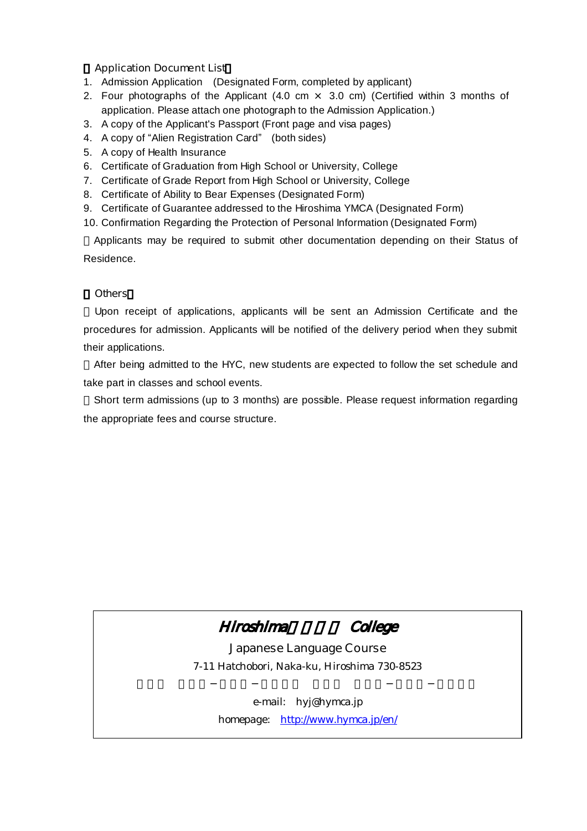## **Application Document List**

- 1. Admission Application (Designated Form, completed by applicant)
- 2. Four photographs of the Applicant (4.0 cm  $\times$  3.0 cm) (Certified within 3 months of application. Please attach one photograph to the Admission Application.)
- 3. A copy of the Applicant's Passport (Front page and visa pages)
- 4. A copy of "Alien Registration Card" (both sides)
- 5. A copy of Health Insurance
- 6. Certificate of Graduation from High School or University, College
- 7. Certificate of Grade Report from High School or University, College
- 8. Certificate of Ability to Bear Expenses (Designated Form)
- 9. Certificate of Guarantee addressed to the Hiroshima YMCA (Designated Form)
- 10. Confirmation Regarding the Protection of Personal Information (Designated Form)

Applicants may be required to submit other documentation depending on their Status of Residence.

### 《**Others**》

Upon receipt of applications, applicants will be sent an Admission Certificate and the procedures for admission. Applicants will be notified of the delivery period when they submit their applications.

After being admitted to the HYC, new students are expected to follow the set schedule and take part in classes and school events.

Short term admissions (up to 3 months) are possible. Please request information regarding the appropriate fees and course structure.



*Japanese Language Course* 7-11 Hatchobori, Naka-ku, Hiroshima 730-8523

> e-mail: hyj@hymca.jp homepage: http://www.hymca.jp/en/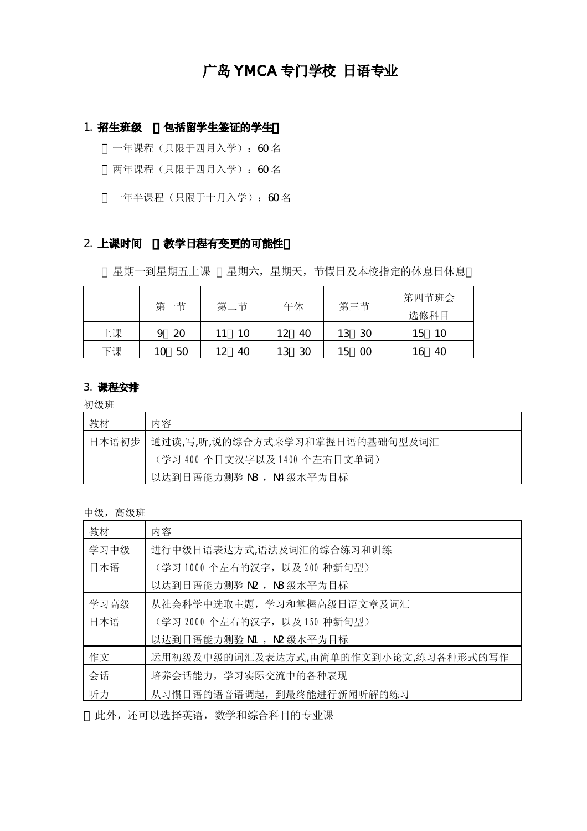## 广岛 YMCA 专门学校 日语专业

## 1. 招生班级 包括留学生签证的学生

一年课程(只限于四月入学): 60名

两年课程(只限于四月入学):60 名

一年半课程(只限于十月入学):60 名

### 2. 上课时间 教学日程有变更的可能性

星期一到星期五上课 星期六,星期天,节假日及本校指定的休息日休息

|    | 第一节 | 第二节 | 午休       | 第三节       | 第四节班会<br>选修科目 |  |
|----|-----|-----|----------|-----------|---------------|--|
| 上课 | 20  |     | 40<br>12 | -30<br>13 | -10<br>L5     |  |
| 下课 | 50  | 40  | 30       | 00<br>15  | 40            |  |

## 3. 课程安排

初级班

| 教材    | 内容                             |
|-------|--------------------------------|
| 日本语初步 | 通过读,写,听,说的综合方式来学习和掌握日语的基础句型及词汇 |
|       | (学习 400 个日文汉字以及 1400 个左右日文单词)  |
|       | 以达到日语能力测验 NB, N4级水平为目标         |

### 中级,高级班

| 教材   | 内容                                   |
|------|--------------------------------------|
| 学习中级 | 进行中级日语表达方式,语法及词汇的综合练习和训练             |
| 日本语  | (学习 1000 个左右的汉字, 以及 200 种新句型)        |
|      | 以达到日语能力测验 N2 ,N3级水平为目标               |
| 学习高级 | 从社会科学中选取主题,学习和掌握高级日语文章及词汇            |
| 日本语  | (学习 2000个左右的汉字,以及150种新句型)            |
|      | 以达到日语能力测验 N1 , N2 级水平为目标             |
| 作文   | 运用初级及中级的词汇及表达方式,由简单的作文到小论文,练习各种形式的写作 |
| 会话   | 培养会话能力, 学习实际交流中的各种表现                 |
| 听力   | 从习惯日语的语音语调起, 到最终能进行新闻听解的练习           |

此外,还可以选择英语,数学和综合科目的专业课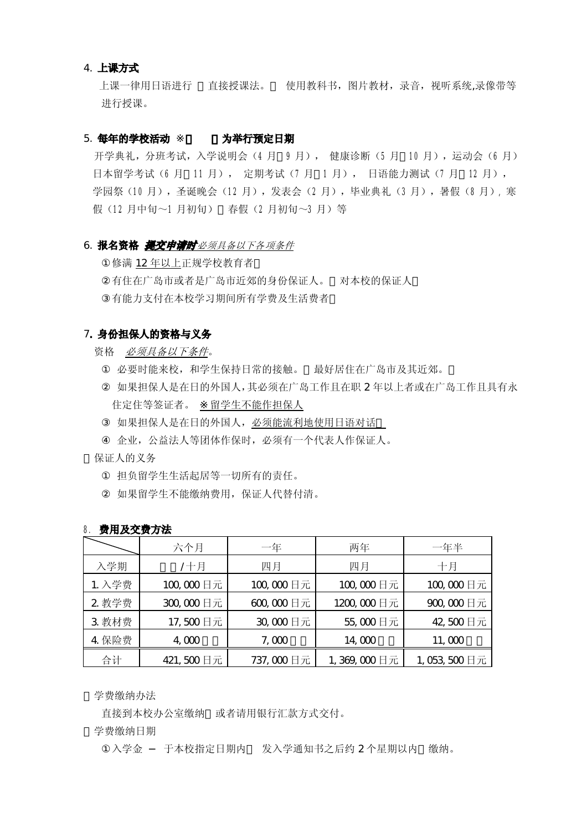### 4. 上课方式

 上课一律用日语进行 直接授课法。 使用教科书,图片教材,录音,视听系统,录像带等 进行授课。

### 5. 每年的学校活动 为举行预定日期

开学典礼,分班考试,入学说明会(4月 9月), 健康诊断(5月 10月), 运动会(6月) 日本留学考试(6 月 11 月), 定期考试(7 月 1 月), 日语能力测试(7 月 12 月), 学园祭(10月),圣诞晚会(12月),发表会(2月),毕业典礼(3月),暑假(8月),寒 假(12 月中旬~1 月初旬) 春假(2 月初旬~3 月)等

### 6. 报名资格 提交申请时必须具备以下各项条件

修满 12 年以上正规学校教育者

有住在广岛市或者是广岛市近郊的身份保证人。 对本校的保证人 有能力支付在本校学习期间所有学费及生活费者

### 7. 身份担保人的资格与义务

资格 必须具备以下条件。

必要时能来校,和学生保持日常的接触。 最好居住在广岛市及其近郊。 如果担保人是在日的外国人,其必须在广岛工作且在职 2 年以上者或在广岛工作且具有永 住定住等签证者。 留学生不能作担保人

如果担保人是在日的外国人,必须能流利地使用日语对话

企业,公益法人等团体作保时,必须有一个代表人作保证人。

保证人的义务

担负留学生生活起居等一切所有的责任。 如果留学生不能缴纳费用,保证人代替付清。

|        | 六个月       | 一年        | 两年          | 一年半         |  |  |
|--------|-----------|-----------|-------------|-------------|--|--|
| 入学期    | /十月       | 四月        | 四月          | 十月          |  |  |
| 1. 入学费 | 100,000日元 | 100,000日元 | 100,000日元   | 100,000日元   |  |  |
| 2 教学费  | 300,000日元 | 600,000日元 | 1200,000日元  | 900,000日元   |  |  |
| 3 教材费  | 17,500日元  | 30,000日元  | 55,000日元    | 42,500日元    |  |  |
| 4 保险费  | 400       | 7,000     | 14,000      | 11,000      |  |  |
| 合计     | 421,500日元 | 737,000日元 | 1,369,000日元 | 1,053,500日元 |  |  |

### 8. 费用及交费方法

学费缴纳办法

直接到本校办公室缴纳 或者请用银行汇款方式交付。

学费缴纳日期

入学金 于本校指定日期内 发入学通知书之后约 2个星期以内 缴纳。